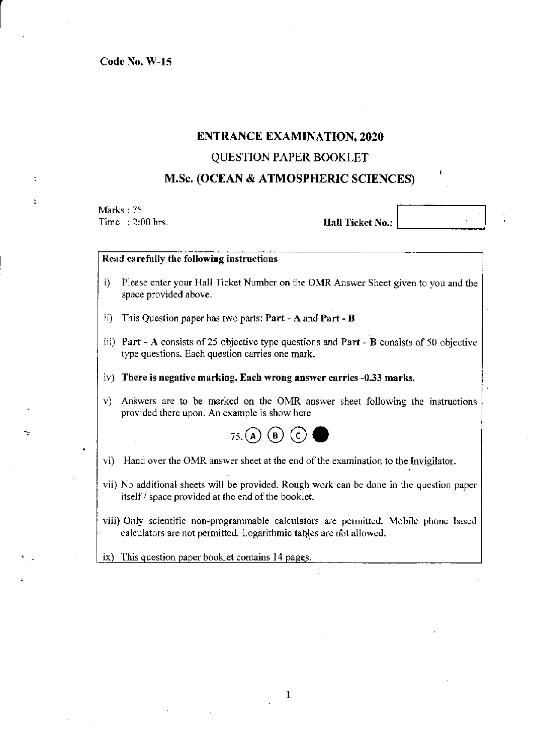Code No. W -15

## ENTRANCE EXAM INA TION, 2020

## QUESTION PAPER BOOKLET

## M.Sc. (OCEAN & ATMOSPHERIC SCIENCES)

Marks:  $75$ <br>Time:  $2:00$  hrs. Time : 2:00 hrs. Hall Ticket No.: LI \_\_\_\_\_ ---1

## Read carefully the following instructions

- i) Please enter your Hall Ticket Number on the OMR Answer Sheet given to you and the space provided above.
- ii) This Question paper has *tvvo* parts: Part A and Part B
- iii) Part A consists of 25 objective type questions and Part B consists of 50 objective type questions. Each question carries one mark.
- iv) There is negatiye marking. Each wrong answer carries -0.33 marks.
- v) Answers are to be marked on the OMR answer sheet following the instructions provided there upon. An example is show here



- vi) Hand over the OMR answer sheet at the end of the examination to the Invigilator.
- vii) No additional sheets will be provided. Rough work can be done in the question paper itself / space provided at the end of the booklet.
- viii) Only scientific non-programmable calculators are permitted. Mobile phone based calculators are not permitted. Logarithmic tables are not allowed.

 $ix)$  This question paper booklet contains 14 pages.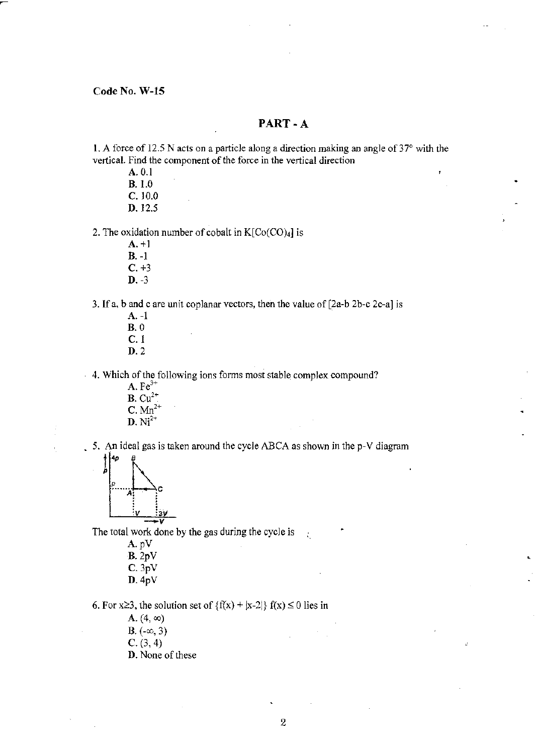## PART-A

1. A force of 12.5 N acts on a particle along a direction making an angle of  $37^{\circ}$  with the vertical. Find the component of the force in the vertical direction

A. 0.1 B. 1.0 C. 10.0 D.12.5

#### 2. The oxidation number of cobalt in  $K[Co(CO)_4]$  is

- A.+I B. -I  $C. +3$
- D. -3

## 3. If a, b and c are unit coplanar vectors, then the value of  $[2a-b 2b-c 2c-a]$  is

A. -1 B.O C.! D.2

4. Which of the following ions fonns most stable complex compound?

 $\mathbf{A}.\mathbf{Fe}^{3+}$ **B.**  $Cu^{2+}$  $C.$  Mn<sup>2+</sup> **D**.  $Ni^{2+}$ 

5. An ideal gas is taken around the cycle ABCA as shown in the p-V diagram



 $\frac{1 \cdot v}{v}$   $\frac{2 \cdot v}{v}$ <br>The total work done by the gas during the cycle is  $\mathcal{L}$ 

> A.pV B.2pV C. 3pV D.4pV

6. For x 23, the solution set of  $\{f(x) + |x-2|\}$   $f(x) \le 0$  lies in

A.  $(4, \infty)$ 

- B.  $(-\infty, 3)$
- $C. (3, 4)$
- D. None of these

þ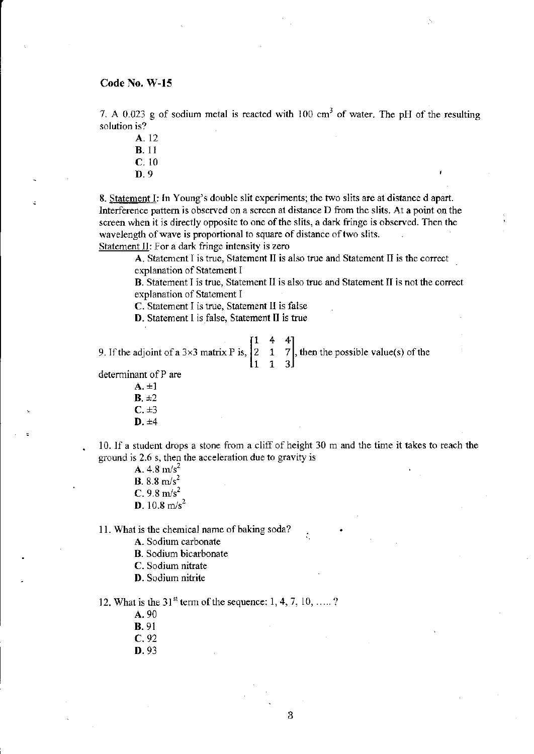7. A 0.023 g of sodium metal is reacted with 100 cm<sup>3</sup> of water. The pH of the resulting solution is?

- A.12 B. II C. 10
- D.9

8. Statement I: In Young's double slit experiments; the two slits are at distance d apart. Interference pattern is observed on a screen at distance D from the slits. At a point on the screen when it is directly opposite to one of the slits, a dark fringe is observed. Then the wavelength of wave is proportional to square of distance of two slits. Statement II: For a dark fringe intensity is zero

A. Statement I is true, Statement II is also true and Statement II is the correct explanation of Statement I

B. Statement I is true, Statement II is also true and Statement II is not the correct explanation of Statement I

C. Statement I is true, Statement II is false

D. Statement I is false, Statement II is true

$$
\begin{bmatrix} 1 & 4 & 4 \end{bmatrix}
$$

9. If the adjoint of a 3×3 matrix P is,  $\begin{bmatrix} 2 & 1 & 7 \\ 1 & 1 & 3 \end{bmatrix}$ , then the possible value(s) of the

determinant of P are

 $A. \pm 1$  $B. \pm 2$  $C. \pm 3$ D.±4

10. If a student drops a stone from a cliff of height 30 m and the time it takes to reach the ground is 2.6 s, then the acceleration due to gravity is

- A. 4.8  $m/s^2$ **B.** 8.8 m/s<sup>2</sup>
- $C. 9.8 m/s<sup>2</sup>$
- D.  $10.8 \text{ m/s}^2$

11. What is the chemical name of baking soda?

A. Sodium carbonate

- B. Sodium bicarbonate
- c. Sodium nitrate
- D. Sodium nitrite

12. What is the 31<sup>st</sup> term of the sequence: 1, 4, 7, 10, .....?

- A.90
- B.91
- C. 92
- D.93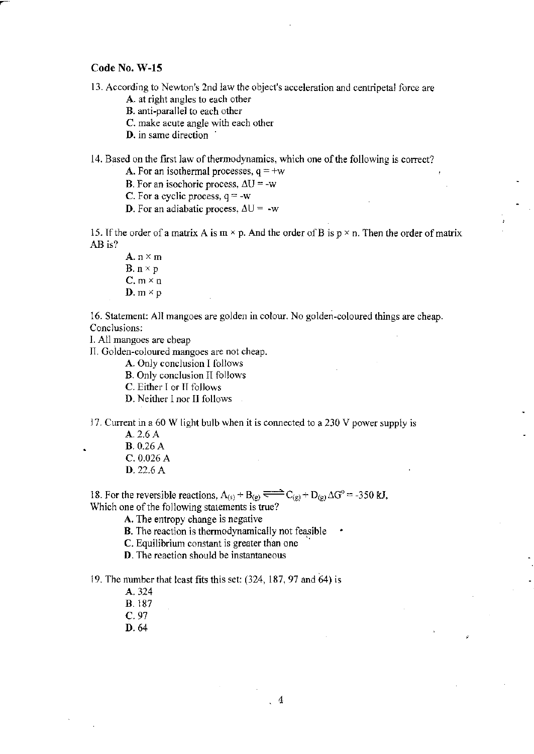- 13. According to Newton's 2nd law the object's acceleration and centripetal force are
	- A. at right angles to each other
	- B. anti-parallel to each other
	- C. make acute angle with each other
	- D. in same direction

14. Based on the first law of thermodynamics, which one of the following is correct?

**A.** For an isothermal processes,  $q = +w$ 

**B.** For an isochoric process,  $\Delta U = -w$ 

C. For a cyclic process,  $q = -w$ 

**D**. For an adiabatic process,  $\Delta U = -w$ 

15. If the order of a matrix A is  $m \times p$ . And the order of B is  $p \times n$ . Then the order of matrix AB is?

A.  $n \times m$ **B.**  $n \times p$  $C. m \times n$ **D**.  $m \times p$ 

16. Statement: All mangoes are golden in colour. No golden-coloured things are cheap. Conclusions:

1. All mangoes are cbeap

II. Golden-coloured mangoes are not cheap.

A. Only conclusion I follows

B. Only conclusion II follows

C. Either I or II follows

D. Neither I nor II follows

17. Current in a 60 W light bulb when it is connected to a  $230$  V power supply is

A. 2.6 A

B. 0.26 A

- C. 0.026 A
- D.22.6A

18. For the reversible reactions,  $A_{(s)} + B_{(g)} \rightleftharpoons C_{(g)} + D_{(g)} \Delta G^{\circ} = -350$  kJ, Which one of the following statements is true?

A, The entropy change is negative

B. The reaction is thennodynamically not feasible

C. Equilibrium constant is greater than one

D. The reaction should be instantaneous

19. The munber that least fits this set: (324, 187,97 and 64) is

- A.324 B.187
- C. 97
- D.64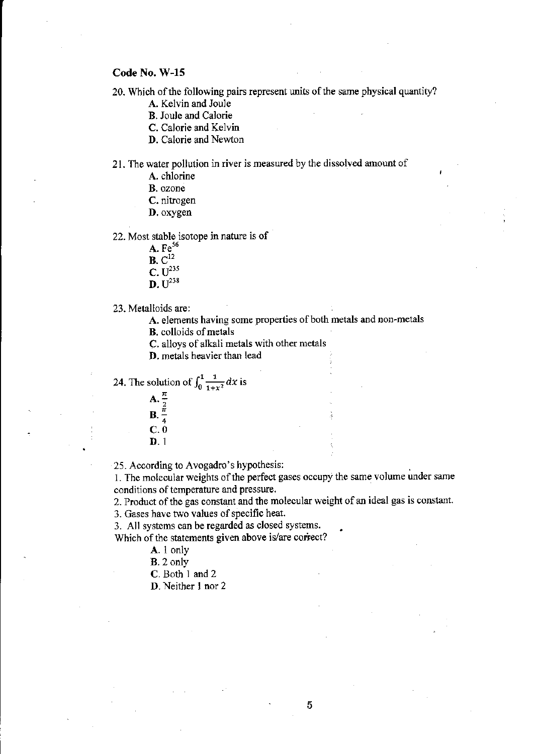20. Which of the following pairs represent units of the same physical quantity?

A. Kelvin and Joule

B. Joule and Calorie

C. Calorie and Kelvin

D. Calorie and Newton

21. The water pollution in river is measured by the dissolved amount of

A. chlorine

B. ozone

C. nitrogen

D. oxygen

22. Most stable isotope in nature is of

 $A. Fe<sup>56</sup>$ 

 $B. C^{12}$ 

 $C. U^{235}$ 

 $D. U^{238}$ 

23. Metalloids are:

A. elements having some properties of both metals and non~metals

B. colloids of metals

C. alloys of alkali metals with other metals

D. metals heavier than lead

24. The solution of 
$$
\int_0^1 \frac{1}{1+x^2} dx
$$
 is



D.l

25. According to Avogadro's hypothesis: .

1. The molecular weights of the perfect gases occupy the same volume under same conditions of temperature and pressure.

2. Product of the gas constant and the molecular weight of an ideal gas is constant.

3. Gases have two values of specific heat.

3. All systems can be regarded as closed systems.

Which of the statements given above is/are correct?

A. I only

B. 2 only

C. Both 1 and 2

D. Neither 1 nor 2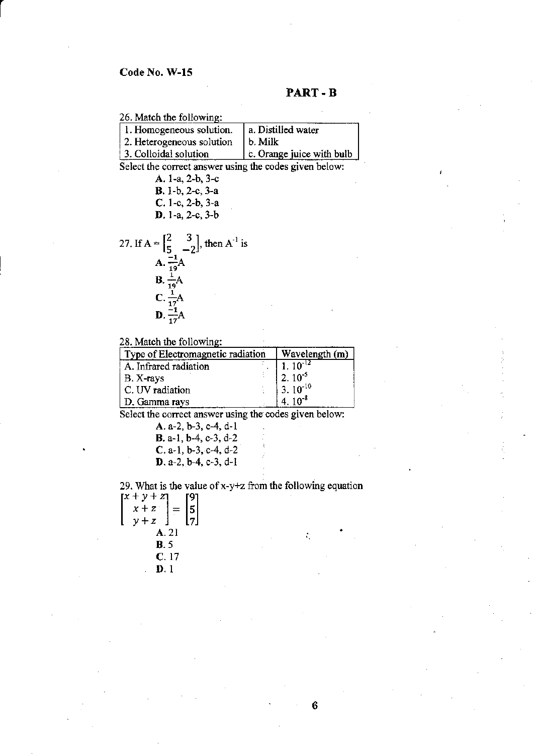### **PART-B**

26. Mateh the following:

| 1. Homogeneous solution.  | a. Distilled water                    |
|---------------------------|---------------------------------------|
| 2. Heterogeneous solution | b. Milk                               |
| 3. Colloidal solution     | c. Orange juice with bulb $\parallel$ |
|                           |                                       |

**Select the correct answer using the codes given below:** 

| A. 1-a, 2-b, 3-c                                                              |
|-------------------------------------------------------------------------------|
| <b>B.</b> I-b, 2-c, 3-a                                                       |
| $C. 1-c. 2-b. 3-a$                                                            |
| $D. 1-a, 2-c, 3-b$                                                            |
|                                                                               |
| 27. If $A = \begin{bmatrix} 2 & 3 \\ 5 & -2 \end{bmatrix}$ , then $A^{-1}$ is |
| $A. \frac{-1}{19}A$                                                           |
| $B. \frac{1}{19}A$                                                            |
| $C. \frac{1}{17}A$                                                            |
| $\mathbf{D} \cdot \frac{-1}{\sigma} \mathbf{A}$                               |

# 28. Match the following:

| Type of Electromagnetic radiation | Wavelength (m)                 |  |  |
|-----------------------------------|--------------------------------|--|--|
| A. Infrared radiation             | $\frac{1.10^{-12}}{2.10^{-5}}$ |  |  |
| $  B. X-rays$                     |                                |  |  |
| C. UV radiation                   | $3.10^{-10}$                   |  |  |
| D. Gamma rays                     | $4.10^{-8}$                    |  |  |

Select the correct answer using the codes given below:

A. a-2, b-3, e-4, d-I B. a-I, b-4, c-3, d-2 C. a-I, b-3, c-4, d-2 D. a-2, b-4, e-3, d-I

**29. What is the value ofx-y+z from the following equation** 

| $[x + y + z]$ |                |
|---------------|----------------|
| $x + z$       |                |
| $y + z$       | $\binom{5}{7}$ |
| A. 21         |                |
| <b>B.5</b>    |                |
| C.17          |                |
| D. 1          |                |

÷,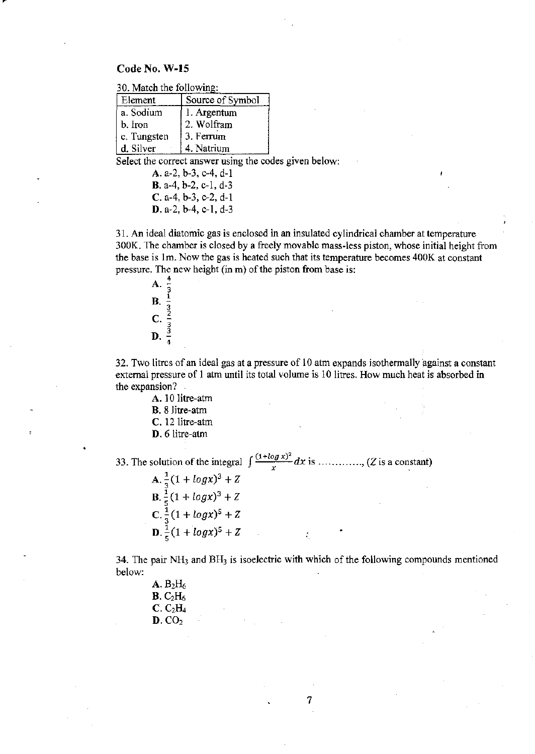30. Match the following:

| Element             | Source of Symbol |
|---------------------|------------------|
| a. Sodium           | 1. Argentum      |
| b. Iron             | 2. Wolfram       |
| $\vert$ c. Tungsten | 3. Ferrum        |
| d. Silver           | 4. Natrium       |

Select the correct answer using the codes given below:

A.  $a-2$ ,  $b-3$ ,  $c-4$ ,  $d-1$  $B. a-4, b-2, c-1, d-3$  $C. a-4, b-3, c-2, d-1$  $D. a-2, b-4, c-1, d-3$ 

31. An ideal diatomic gas is enclosed in an insulated cylindrical chamber at temperature 300K. The chamber is closed by a freely movable mass~less piston, whose initial height from the base is 1m. Now the gas is heated such that its temperature becomes 400K at constant pressure. The new height (in m) of the piston from base is:



32. Two litres of an ideal gas at a pressure of 10 atm expands isothermally against a constant external pressure of 1 atm until its total volume is 10 litres. How much heat is absorbed in the expansion?

A. 10 litre-atm

- B. 8 litre-atm
- C. 12 litre-atm
- D. 6 litre-aim

33. The solution of the integral  $\int \frac{(1+i\log x)^2}{x} dx$  is ............... (Z is a constant)

A.  $\frac{1}{3}(1 + log x)^3 + Z$  $B. \frac{1}{5}(1 + log x)^3 + Z$  $C.\frac{1}{3}(1 + log x)^5 + Z$  $D \cdot \frac{1}{5}(1 + log x)^5 + Z$ 

34. The pair  $NH_3$  and  $BH_3$  is isoelectric with which of the following compounds mentioned below:

7

| $\mathbf{A}.\ \mathbf{B}_2\!\mathrm{H}_6$ |
|-------------------------------------------|
| B. C <sub>2</sub> H <sub>6</sub>          |
| $\mathbf{C}$ . $\mathrm{C_2H_4}$          |
| D. CO <sub>2</sub>                        |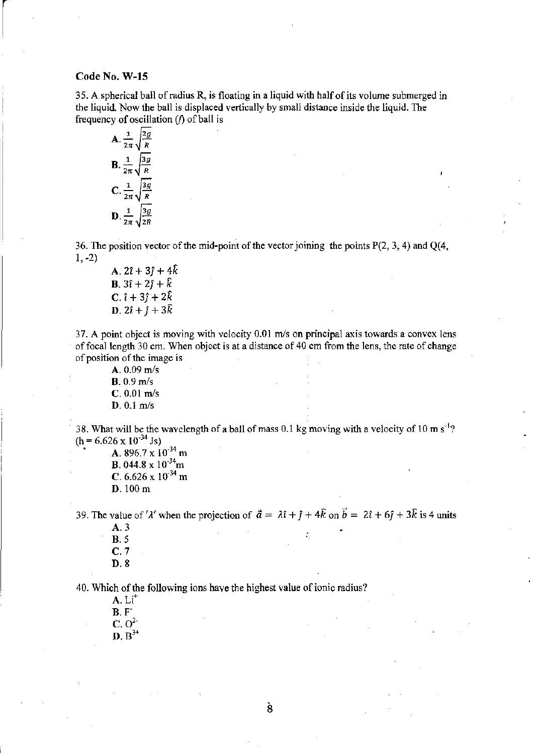35. A spherical ball of radius R is floating in a liquid with half of its volume submerged in the liquid. Now the ball is displaced vertically by small distance inside the liquid. The frequency of oscillation  $(f)$  of ball is

**A.** 
$$
\frac{1}{2\pi} \sqrt{\frac{2g}{R}}
$$
  
**B.** 
$$
\frac{1}{2\pi} \sqrt{\frac{3g}{R}}
$$
  
**C.** 
$$
\frac{1}{2\pi} \sqrt{\frac{3g}{R}}
$$
  
**D.** 
$$
\frac{1}{2\pi} \sqrt{\frac{3g}{2R}}
$$

36. The position vector of the mid-point of the vector joining the points P(2, 3, 4) and Q(4, 1. -2)

A.  $2\hat{i} + 3\hat{j} + 4\hat{k}$ **B.**  $3\hat{i} + 2\hat{j} + \hat{k}$ **c**.  $\hat{i} + 3\hat{j} + 2\hat{k}$ **D**.  $2\hat{i} + \hat{j} + 3\hat{k}$ 

37. A point object is moving with velocity  $0.01$  m/s on principal axis towards a convex lens of focal length 30 em. When object is at a distance of 40 em from the lens, the rate of change of position of the image is

A. 0.09 m/s **B.**  $0.9 \text{ m/s}$  $C. 0.01$  m/s  $D. 0.1$  m/s

38. What will be the wavelength of a ball of mass 0.1 kg moving with a velocity of 10 m  $\sin^3$ ?  $(h = 6.626 \times 10^{-34}$  Js)

**• A.** 896.7 x  $10^{-34}$  m **B.** 044.8 x  $10^{-34}$ m C.  $6.626 \times 10^{-34}$  m D. 100 m

39. The value of ' $\lambda'$  when the projection of  $\vec{a} = \lambda \hat{i} + \hat{j} + 4\hat{k}$  on  $\vec{b} = 2\hat{i} + 6\hat{j} + 3\hat{k}$  is 4 units

A.3 **B.** 5 C.7 D.8

40. Which of the following ions have the highest value of ionic radius?

 $A. Li<sup>+</sup>$ **B.F**  $C. O<sup>2</sup>$  $\mathbf{D}$ .  $\mathbf{B}^{3+}$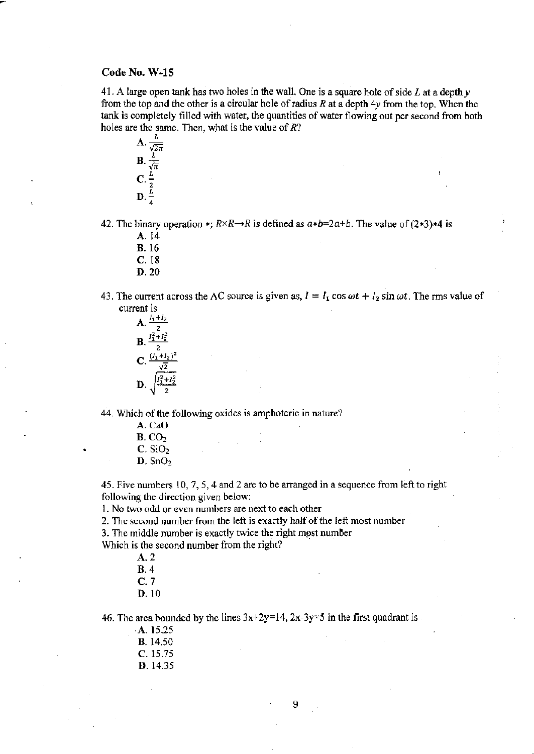41. A large open tank has two holes in the wall. One is a square hole of side L at a depth *y*  from the top and the other is a circular hole of radius *R* at a depth *4y* from the top. When the tank is completely filled with water, the quantities of water flowing out per second from both holes are the same. Then, what is the value of  $R$ ?



42. The binary operation  $\ast$ :  $R \times R \rightarrow R$  is defined as  $a \ast b = 2a + b$ . The value of  $(2 \ast 3) \ast 4$  is

A.14

- B.16
- C.18
- D.20
- 43. The current across the AC source is given as,  $I = I_1 \cos \omega t + I_2 \sin \omega t$ . The rms value of current is



44. Which of the following oxides is amphoteric in nature?

A.CaG **B.** CO<sub>2</sub>  $C.$  SiO<sub>2</sub>  $D.$  SnO<sub>2</sub>

45. Five numbers 10,7,5,4 and 2 are to be arranged in a sequence from left to right following the direction given below:

1. No two odd or even numbers are next to each other

2. The second number from the left is exactly half of the left most number

3. The middle number is exactly twice the right most number

Which is the second number from the right?

- A.2
- B.4
- C.7
- D.1O

46. The area bounded by the lines  $3x+2y=14$ ,  $2x-3y=5$  in the first quadrant is

- A. 15.25
- B. 14.50
- C. 15.75
- D. 14.35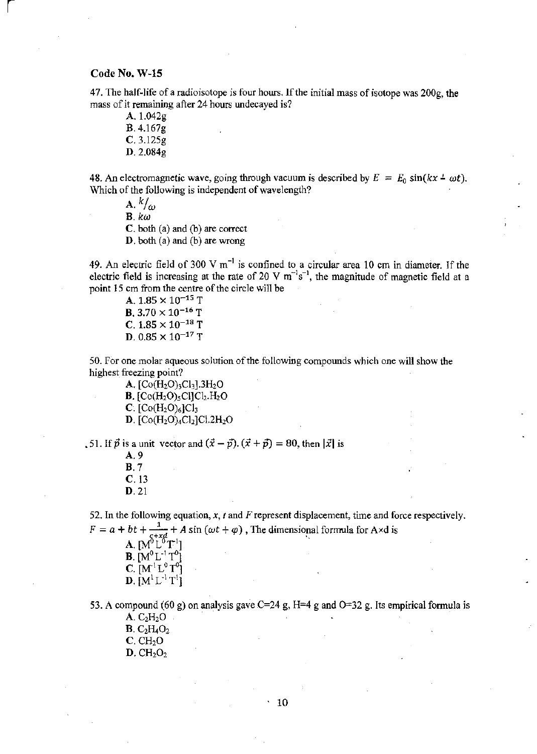$\vert$ 

**47. The half-life of a radioisotope is four hours. lfthe initial mass of isotope was 200g, the mass of it remaining after 24 hours undecayed is?** 

A. 1.042g B.4.167g C.3.125g D.2.084g

48. An electromagnetic wave, going through vacuum is described by  $E = E_0 \sin(kx \pm \omega t)$ . **Which of the following is independent** of wavelength?

 $A. k/ \omega$ B. *kw*  c. both (a) and (b) are correct D. both (a) and (b) are wrong

**49. An electric field of 300 V m-<sup>I</sup>is confined to a circular area 10 em in diameter.** If the electric field is increasing at the rate of 20 V  $m^{-1}s^{-1}$ , the magnitude of magnetic field at a **point 15 em from the centre** of the **circle will be** 

A.  $1.85 \times 10^{-15}$  T **B.** 3.70  $\times$  10<sup>-16</sup> T C.  $1.85 \times 10^{-18}$  T D. 0.85  $\times$  10<sup>-17</sup> T

**50. For one molar aqueous solution** of the **following compounds which one will show the highest freezing point?** 

A.  $[Co(H<sub>2</sub>O)<sub>3</sub>Cl<sub>3</sub>].3H<sub>2</sub>O$ **B.**  $[Co(H_2O)_5Cl]Cl_2.H_2O$ **C.**  $[Co(H_2O)_6]Cl_3$ **D.**  $[Co(H<sub>2</sub>O)<sub>4</sub>Cl<sub>2</sub>]Cl<sub>2</sub>Cl<sub>2</sub>H<sub>2</sub>O$ 

.51. If  $\vec{p}$  is a unit vector and  $(\vec{x} - \vec{p})$ .  $(\vec{x} + \vec{p}) = 80$ , then  $|\vec{x}|$  is

| A. 9  |                  |
|-------|------------------|
| B. 7  |                  |
|       | $\mathbf{C}.$ 13 |
| D. 21 |                  |

**52. In the following equation, x,** *t* **and Frepresent displacement, time and force respectively.**   $F = a + bt + \frac{1}{\sqrt{1 + t}} + A \sin (\omega t + \varphi)$ , The dimensional formula for A×d is

|                                |  | $\mu$ one (see $\mu$ y $\mu$ ), the unnemotion |
|--------------------------------|--|------------------------------------------------|
| <b>A.</b> $[M_5^{6+xd}L^6T^1]$ |  |                                                |
| <b>B.</b> $[M^0 L^{-1} T^0]$   |  |                                                |
| <b>C.</b> $[M^1L^0T^0]$        |  |                                                |
| <b>D.</b> $[M^1L^1T^1]$        |  |                                                |

**53. A compound (60 g) on analysis gave C=24 g, H=4 g and 0=32 g. Its empirical fonnula is** 

 $A. C<sub>2</sub>H<sub>2</sub>O$  $B. C<sub>2</sub>H<sub>4</sub>O<sub>2</sub>$  $C.$  CH<sub>2</sub>O  $D. CH<sub>2</sub>O<sub>2</sub>$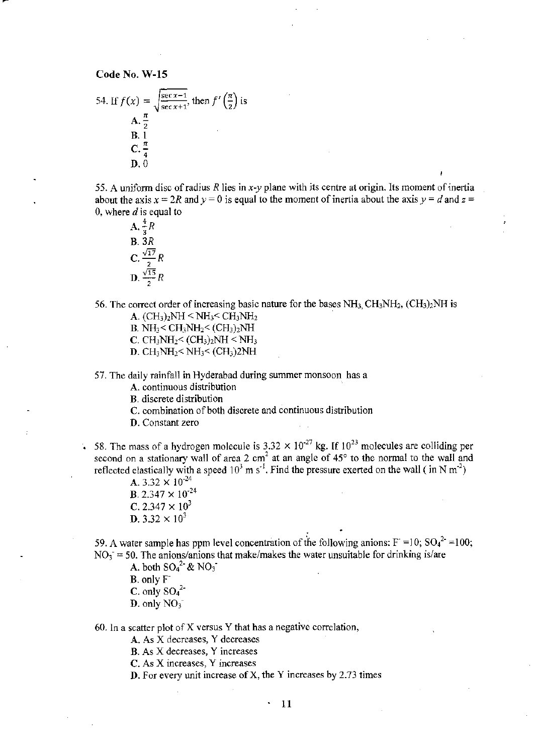54. If 
$$
f(x) = \sqrt{\frac{\sec x - 1}{\sec x + 1}}
$$
, then  $f'(\frac{\pi}{2})$  is  
\n**A.**  $\frac{\pi}{2}$   
\n**B.** 1  
\n**C.**  $\frac{\pi}{4}$   
\n**D.** 0

55. A uniform disc of radius  $R$  lies in  $x-y$  plane with its centre at origin. Its moment of inertia about the axis  $x = 2R$  and  $y = 0$  is equal to the moment of inertia about the axis  $y = d$  and  $z =$ 0, where *d* is equal to

 $\mathbf{A}, \frac{4}{3}R$ B. 3R  $C. \frac{\sqrt{17}}{2} R$ **D.**  $\frac{\sqrt{15}}{2}R$ 

56. The correct order of increasing basic nature for the bases  $NH<sub>3</sub> CH<sub>3</sub>NH<sub>2</sub>$ , (CH<sub>3</sub>)<sub>2</sub>NH is A.  $(CH_3)_2NH < NH_3 < CH_3NH_2$ 

**B.** NH<sub>3</sub> < CH<sub>3</sub>NH<sub>2</sub> < (CH<sub>3</sub>)<sub>2</sub>NH

**C**. CH<sub>3</sub>NH<sub>2</sub> < (CH<sub>3</sub>)<sub>2</sub>NH < NH<sub>3</sub>

**D.**  $CH_3NH_2 < NH_3 < (CH_3)2NH$ 

57. The daily rainfall in Hyderabad during summer monsoon has a

A. continuous distribution

B. discrete distribution

C. combination of both discrete and continuous distribution

D. Constant zero

58. The mass of a hydrogen molecule is  $3.32 \times 10^{-27}$  kg. If  $10^{23}$  molecules are colliding per second on a stationary wall of area 2 cm<sup>2</sup> at an angle of  $45^{\circ}$  to the normal to the wall and reflected elastically with a speed  $10^3$  m s<sup>-1</sup>. Find the pressure exerted on the wall (in N m<sup>-2</sup>)

A. 3.32  $\times$  10<sup>-24</sup> **B.** 2.347  $\times$  10<sup>-24</sup> C. 2.347  $\times$  10<sup>3</sup> **D.** 3.32  $\times$  10<sup>3</sup>

59. A water sample has ppm level concentration of the following anions:  $F =10$ ;  $SO<sub>4</sub><sup>2</sup> =100$ ;  $NO<sub>3</sub> = 50$ . The anions/anions that make/makes the water unsuitable for drinking is/are

A. both  $SO_4^2$  & NO<sub>3</sub>

B. only  $F^-$ C. only *sol-***D.** only  $NO_3^-$ 

60, In a scatter plot of X versus Y that has a negative correlation,

A. As X decreases, Y decreases

B. As X decreases, Y increases

C. As X increases, Y increases

D. For every unit increase of X, the Y increases by 2.73 times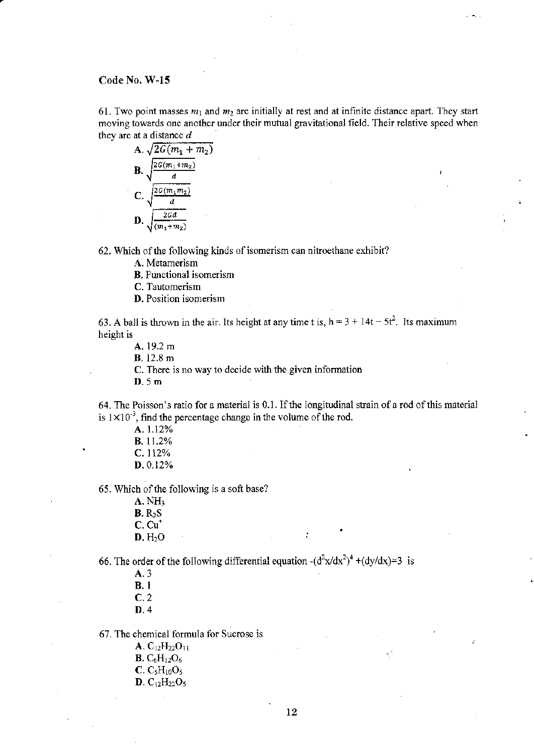61. Two point masses  $m_1$  and  $m_2$  are initially at rest and at infinite distance apart. They start moving towards one another under their mutual gravitational field. Their relative speed when they are at a distance *d* 

**A.** 
$$
\sqrt{2G(m_1 + m_2)}
$$
  
\n**B.**  $\sqrt{\frac{2G(m_1 + m_2)}{d}}$   
\n**C.**  $\sqrt{\frac{2G(m_1 m_2)}{d}}$   
\n**D.**  $\sqrt{\frac{2Gd}{(m_1 + m_2)}}$ 

62. Which of the following kinds of isomerism can nitroethane exhibit?

A. Metamerism

B. Functional isomerism

C. Tautomerism

**D.** Position isomerism

63. A ball is thrown in the air. Its height at any time t is,  $h = 3 + 14t - 5t^2$ . Its maximum height is

A. 19.2 m

B. 12.8 m

C. There is no way to decide with the given information

D. Sm

64. The Poisson's ratio for a material is 0.1. If the longitudinal strain of a rod of this material is  $1 \times 10^{-3}$ , find the percentage change in the volume of the rod.

•

÷.

A.1.12% B.l1.2% C.112% D.O.12%

65. Which of the following is a soft base?

 $A. NH<sub>3</sub>$  $B. R<sub>2</sub>S$  $C. Cu<sup>+</sup>$  $D. H<sub>2</sub>O$ 

66. The order of the following differential equation  $-(d^2x/dx^2)^4 + (dy/dx)=3$  is

A.3 B.l

C.2

D.4

67. The chemical formula for Sucrose is

- $A. C_{12}H_{22}O_{11}$ **B.**  $C_6H_{12}O_6$  $C. C<sub>5</sub>H<sub>10</sub>O<sub>5</sub>$
- $D. C_{12}H_{22}O_5$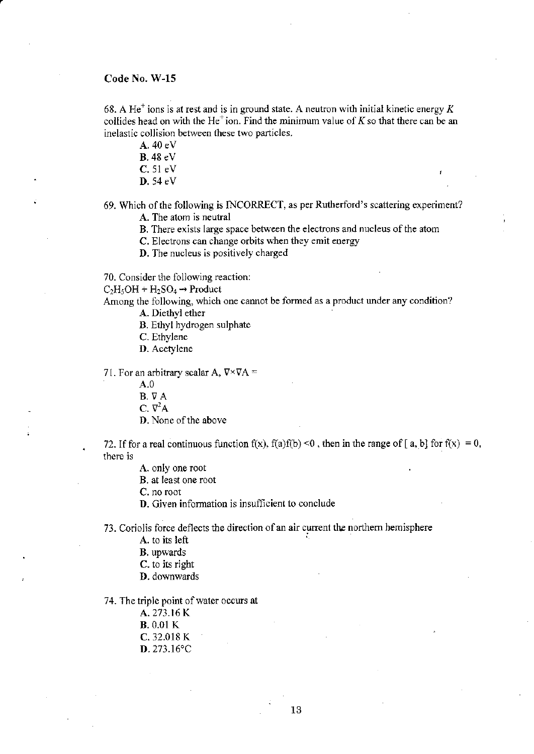68. A He<sup>+</sup> ions is at rest and is in ground state. A neutron with initial kinetic energy K collides head on with the He<sup> $+$ </sup>ion. Find the minimum value of K so that there can be an inelastic collision between these two particles.

A, 40 eV

**B**. 48 eV

C. 51 eV

D, 54 eV

69. Which of the following is INCORRECT, as per Rutherford's scattering experiment? A. The atom is neutral

B. There exists large space between the electrons and nucleus of the atom

C. Electrons can change orbits when they emit energy

D. The nucleus is positively charged

70. Consider the following reaction:

 $C_2H_5OH + H_2SO_4 \rightarrow \text{Product}$ 

Among the following, which one cannot be formed as a product under any condition? A. Diethyl ether

B. Ethyl hydrogen sulphate

C. Ethylene

D. Acetylene

71. For an arbitrary scalar A,  $\nabla \times \nabla A$  =

A.O

B. VA

 $C. \nabla^2 A$ 

D. None of the above

72. If for a real continuous function f(x),  $f(a)f(b) < 0$ , then in the range of [a, b] for  $f(x) = 0$ , there is

A. only one root

B. at least one root

C. no root

D. Given information is insufficient to conclude

73. Coriolis force deflects the direction of an air current the northern hemisphere

A. to its left '

B. upwards

C. to its right

**D.** downwards

74. The triple point of water occurs at

A, 273.16 K

**B**. 0.01 K

C. 32,018 K

D,273.l6'C